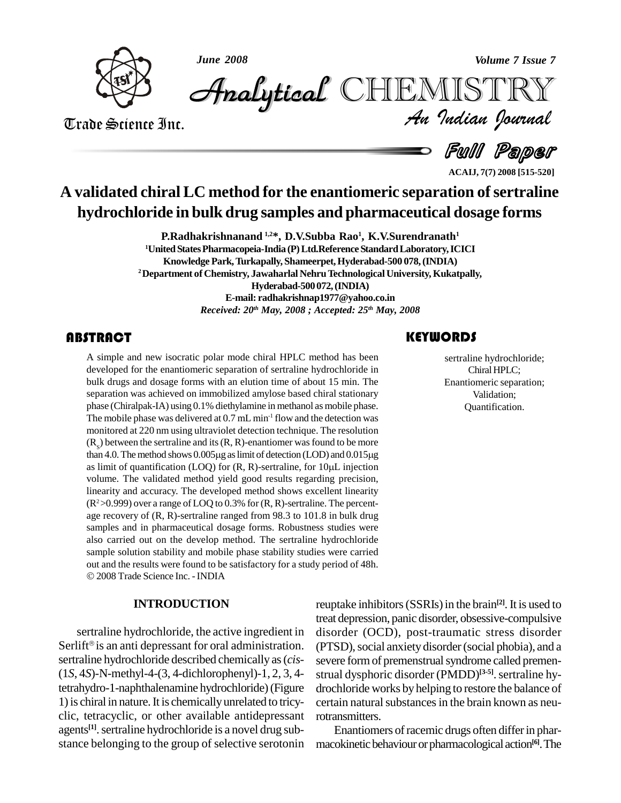



*Volume 7 Issue 7*<br>IISTRY<br>Indian Iournal CHEMISTRY

Trade Science Inc. Trade Science Inc.

e Full Paper

**ACAIJ, 7(7) 2008 [515-520]**

# **A validated chiralLC method for the enantiomeric separation ofsertraline hydrochloride in bulk drug samples and pharmaceutical dosage forms**

**P.Radhakrishnanand 1,2\*, D.V.Subba Rao 1 , K.V.Surendranath 1 <sup>1</sup>UnitedStatesPharmacopeia-India (P)Ltd.Reference StandardLaboratory,ICICI Knowledge Park,Turkapally, Shameerpet,Hyderabad-500 078,(INDIA) <sup>2</sup>Department of Chemistry, Jawaharlal NehruTechnologicalUniversity, Kukatpally, Hyderabad-500 072,(INDIA) E-mail: [radhakrishnap1977@yahoo.co.in](mailto:radhakrishnap1977@yahoo.co.in)** *Received: 20 th May, 2008 ; Accepted: 25 th May, 2008*

### **ABSTRACT**

A simple and new isocre<br>developed for the enanti<br>bulk drugs and dosage f A simple and new isocratic polar mode chiral HPLC method has been developed for the enantiomeric separation of sertraline hydrochloride in bulk drugs and dosage forms with an elution time of about 15 min. The separation was achieved on immobilized amylose based chiral stationary phase (Chiralpak-IA) using 0.1% diethylamine in methanol as mobile phase. The mobile phase was delivered at  $0.7$  mL min<sup>-1</sup> flow and the detection was monitored at 220 nm using ultraviolet detection technique. The resolution  $(R<sub>s</sub>)$  between the sertraline and its  $(R, R)$ -enantiomer was found to be more monitored at 220 nm using ultraviolet detection technique. The resolution  $(R_s)$  between the sertraline and its  $(R, R)$ -enantiomer was found to be more than 4.0. The method shows 0.005µg as limit of detection (LOD) and 0.01  $(R_s)$  between the sertraline and its  $(R, R)$ -enantiomer was found to be more than 4.0. The method shows 0.005µg as limit of detection (LOD) and 0.015µg as limit of quantification (LOQ) for  $(R, R)$ -sertraline, for 10µL injec volume. The validated method yield good results regarding precision, linearity and accuracy. The developed method shows excellent linearity  $(R^2>0.999)$  over a range of LOQ to 0.3% for  $(R, R)$ -sertraline. The percentage recovery of (R, R)-sertraline ranged from 98.3to 101.8 in bulk drug samples and in pharmaceutical dosage forms. Robustness studies were also carried out on the develop method. The sertraline hydrochloride sample solution stability and mobile phase stability studies were carried out and the results were found to be satisfactory for <sup>a</sup> study period of 48h. 2008Trade Science Inc. -INDIA

#### **INTRODUCTION**

sertraline hydrochloride, the active ingredient in Serlift<sup>®</sup> is an anti depressant for oral administration. sertraline hydrochloride described chemically as(*cis*- (1*S*, 4*S*)-N-methyl-4-(3, 4-dichlorophenyl)-1, 2, 3, 4 tetrahydro-1-naphthalenamine hydrochloride)(Figure 1)is chiral in nature.It is chemicallyunrelated to tricy clic, tetracyclic, or other available antidepressant agents<sup>[1]</sup>. sertraline hydrochloride is a novel drug substance belonging to the group of selective serotonin

### **KEYWORDS**

Sertraline hydroch<br>Chiral HPLC;<br>Enantiomeric separ sertraline hydrochloride; Chiral HPLC; Enantiomeric separation; Validation; Quantification.

reuptake inhibitors (SSRIs) in the brain<sup>[2]</sup>. It is used to treat depression, panic disorder, obsessive-compulsive disorder (OCD), post-traumatic stress disorder (PTSD), social anxiety disorder (social phobia), and a severe form of premenstrual syndrome called premenstrual dysphoric disorder (PMDD)<sup>[3-5]</sup>. sertraline hydrochloride works by helping to restore the balance of certain natural substances in the brain known as neurotransmitters.

Enantiomers of racemic drugs often differ in pharmacokinetic behaviour or pharmacological action<sup>[6]</sup>. The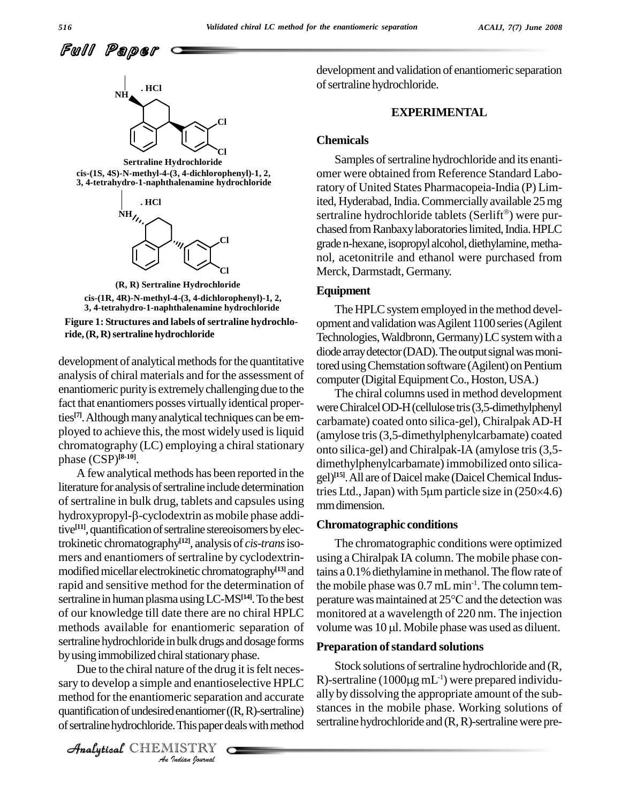

**Sertraline Hydrochloride cis-(1S, 4S)-N-methyl-4-(3, 4-dichlorophenyl)-1, 2, 3, 4-tetrahydro-1-naphthalenamine hydrochloride**



**(R, R) Sertraline Hydrochloride cis-(1R, 4R)-N-methyl-4-(3, 4-dichlorophenyl)-1, 2, 3, 4-tetrahydro-1-naphthalenamine hydrochloride**

**Figure 1: Structures and labels of sertraline hydrochloride,(R, R)sertraline hydrochloride**

development of analytical methods for the quantitative analysis of chiral materials and for the assessment of enantiomeric purity is extremely challenging due to the fact that enantiomers posses virtually identical properties<sup>[7]</sup>. Although many analytical techniques can be employed to achieve this, the most widely used is liquid chromatography (LC) employing a chiral stationary phase (CSP) **[8-10]**.

A few analytical methods has been reported in the literature for analysis of sertraline include determination<br>of sertraline in bulk drug, tablets and capsules using<br>hydroxypropyl- $\beta$ -cyclodextrin as mobile phase addi-Ifterature for analysis of sertraline include determination tries Ltd., Japan) with 5  $\mu$ m particle size in (250 $\times$ 4.6) of sertraline in bulk drug, tablets and capsules using mm dimension tive<sup>[11]</sup>, quantification of sertraline stereoisomers by electrokinetic chromatography **[12]**, analysis of *cis-trans*iso mers and enantiomers of sertraline by cyclodextrinmodified micellar electrokinetic chromatography<sup>[13]</sup> and rapid and sensitive method for the determination of sertraline in human plasma using LC-MS<sup>[14]</sup>. To the best per of our knowledge till date there are no chiral HPLC methods available for enantiomeric separation of volume was 10 µl. Mobile phase was used as diluent. sertraline hydrochloride in bulk drugs and dosage forms by using immobilized chiral stationary phase.

Due to the chiral nature of the drug it is felt neces-*Indian*<br> *I* and enantio<br> *I* enantiomer (<br> *I* ISTRY<br> *IISTRY* sary to develop a simple and enantioselective HPLC  $\quad$  R)-sertrali method for the enantiomeric separation and accurate ally by quantification of undesired enantiomer $((R, R)$ -sertraline) of sertraline hydrochloride. This paper deals with method

Analytical CHEMISTRY

development and validation of enantiomeric separation of sertraline hydrochloride.

#### **EXPERIMENTAL**

#### **Chemicals**

Samples of sertraline hydrochloride and its enantiomer were obtained from Reference Standard Laboratory of United States Pharmacopeia-India (P) Limited, Hyderabad, India. Commercially available 25 mg<br>sertraline hydrochloride tablets (Serlift®) were pursertraline hydrochloride tablets (Serlift<sup>®</sup>) were purchased from Ranbaxy laboratories limited, India. HPLC graden-hexane, isopropyl alcohol, diethylamine, methanol, acetonitrile and ethanol were purchased from Merck, Darmstadt, Germany.

#### **Equipment**

The HPLC system employed in the method development and validation was Agilent 1100 series (Agilent Technologies, Waldbronn, Germany) LC system with a diode array detector (DAD). The output signal was monitored using Chemstation software (Agilent) on Pentium computer (Digital Equipment Co., Hoston, USA.)

The chiral columns used in method development were Chiralcel OD-H (cellulose tris (3,5-dimethylphenyl) carbamate) coated onto silica-gel), ChiralpakAD-H (amylose tris(3,5-dimethylphenylcarbamate) coated onto silica-gel) and Chiralpak-IA (amylose tris(3,5 dimethylphenylcarbamate) immobilized onto silica gel)<sup>[15]</sup>. All are of Daicel make (Daicel Chemical Indusdimethylphenylcarbamate) immobilized onto silica-<br>gel)<sup>[15]</sup>. All are of Daicel make (Daicel Chemical Indus-<br>tries Ltd., Japan) with 5µm particle size in (250×4.6) mmdimension.

#### **Chromatographic conditions**

<sup>[13]</sup> and tains a 0.1% diethylamine in methanol. The flow rate of The chromatographic conditions were optimized using aChiralpak IA column. The mobile phase conthe mobile phase was  $0.7$  mL min<sup>-1</sup>. The column temtains a 0.1% diethylamine in methanol. The flow rate of<br>the mobile phase was 0.7 mL min<sup>-1</sup>. The column tem-<br>perature was maintained at  $25^{\circ}\text{C}$  and the detection was monitored at a wavelength of 220 nm. The injection perature was maintained at 25°C and the detection was<br>monitored at a wavelength of 220 nm. The injection<br>volume was 10 µl. Mobile phase was used as diluent.

#### **Preparation of standard solutions**

Stock solutions of sertraline hydrochloride and (R, **Preparation of standard solutions<br>Stock solutions of sertraline hydrochloride and (R,<br>R)-sertraline (1000µg mL<sup>-1</sup>) were prepared individu**ally by dissolving the appropriate amount of the sub stances in the mobile phase. Working solutions of sertraline hydrochloride and  $(R, R)$ -sertraline were pre-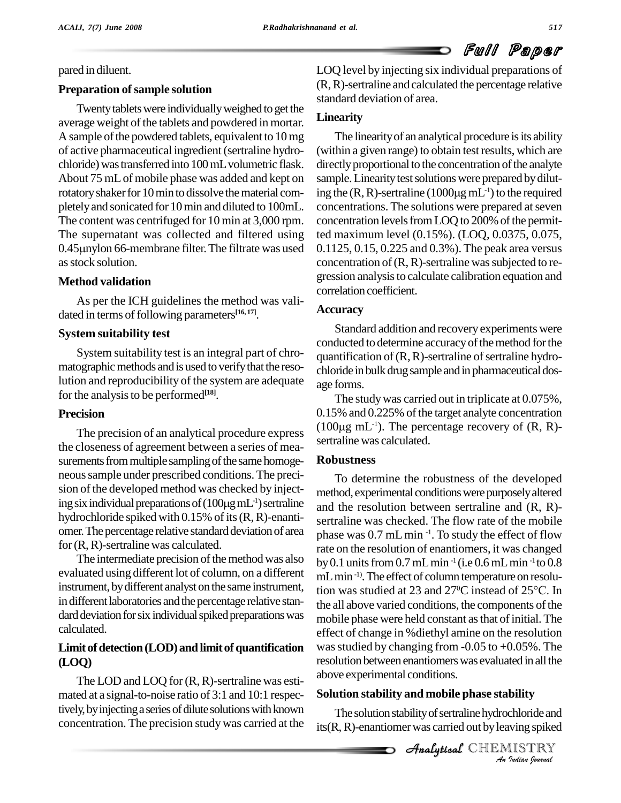#### pared in diluent.

### **Preparation ofsample solution**

Twenty tablets were individually weighed to get the average weight of the tablets and powdered in mortar. A sample of the powdered tablets, equivalent to  $10 \text{ mg}$ of active pharmaceutical ingredient(sertraline hydro chloride) was transferred into 100 mL volumetric flask. About 75 mLof mobile phase was added and kept on rotatory shaker for 10 min to dissolve the material completelyand sonicated for 10min and diluted to 100mL. The content was centrifuged for 10 min at 3,000 rpm. concent The supernatant was collected and filtered using ted ma<br>0.45 $\mu$ nylon 66-membrane filter. The filtrate was used 0.1125 The supernatant was collected and filtered using as stock solution.

# **Method validation**

As per the ICH guidelines the method was vali dated in terms of following parameters<sup>[16,17]</sup>.

### **System suitability test**

System suitability test is an integral part of chro matographic methods and is used to verify that the resolution and reproducibility of the system are adequate forthe analysisto be performed **[18]**.

# **Precision**

The precision of an analytical procedure express the closeness of agreement between a series of mea surements from multiple sampling of the same homogeneoussample under prescribed conditions. The preci sion of the developed method was checked by injectneous sample under prescribed conditions. The preci-<br>sion of the developed method was checked by inject-<br>ing six individual preparations of (100µg mL<sup>-1</sup>) sertraline hydrochloride spiked with  $0.15\%$  of its  $(R, R)$ -enantiomer. The percentage relative standard deviation of area for(R,R)-sertraline was calculated.

The intermediate precision of the method was also evaluated using different lot of column, on a different instrument, bydifferent analyst on the same instrument, in different laboratories and the percentage relative standard deviation for six individual spiked preparations was calculated.

# Limit of detection (LOD) and limit of quantification **(LOQ)**

The LOD and LOQ for  $(R, R)$ -sertraline was estimated at a signal-to-noise ratio of 3:1 and 10:1 respectively, by injecting a series of dilute solutions with known concentration. The precision studywas carried at the LOQ level by injecting six individual preparations of (R,R)-sertraline and calculated the percentage relative standard deviation of area.

# **Linearity**

The linearity of an analytical procedure is its ability (within a given range) to obtain testresults, which are directly proportional to the concentration of the analyte<br>sample. Linearity test solutions were prepared by dilut-<br>ing the (R, R)-sertraline (1000µg mL<sup>-1</sup>) to the required sample. Linearity test solutions were prepared by diluting the  $(R, R)$ -sertraline  $(1000\mu g \, mL^{-1})$  to the required concentrations. The solutions were prepared at seven concentration levels from LOQ to 200% of the permitted maximum level (0.15%). (LOQ, 0.0375, 0.075, 0.1125, 0.15, 0.225 and 0.3%). The peak area versus concentration of  $(R, R)$ -sertraline was subjected to regression analysis to calculate calibration equation and correlation coefficient.

# **Accuracy**

Standard addition and recovery experiments were conducted to determine accuracy of the method for the quantification of  $(R, R)$ -sertraline of sertraline hydrochloride in bulk drug sample and in pharmaceutical dosage forms.

The study was carried out in triplicate at  $0.075\%$ , 0.15% and 0.225% of the target analyte concentration The study was carrie<br>0.15% and 0.225% of th<br>(100µg mL<sup>-1</sup>). The per  $(100\mu g \text{ mL}^{-1})$ . The percentage recovery of  $(R, R)$ sertraline was calculated.

# **Robustness**

above experimental conditions. To determine the robustness of the developed method, experimental conditions were purposely altered and the resolution between sertraline and (R, R) sertraline was checked. The flow rate of the mobile phase was 0.7 mL min <sup>-1</sup>. To study the effect of flow rate on the resolution of enantiomers, it was changed by 0.1 units from 0.7 mL min<sup>-1</sup> (i.e 0.6 mL min<sup>-1</sup> to 0.8<br>mL min<sup>-1)</sup>. The effect of column temperature on resolu-<br>tion was studied at 23 and 27<sup>o</sup>C instead of 25<sup>o</sup>C. In mL min<sup>-1)</sup>. The effect of column temperature on resolution was studied at 23 and 27<sup>o</sup>C instead of 25<sup>o</sup>C. In the all above varied conditions, the components of the mobile phase were held constant as that of initial. The effect of change in %diethyl amine on the resolution was studied by changing from  $-0.05$  to  $+0.05\%$ . The resolution between enantiomers was evaluated in all the

# **Solution stability and mobile phase stability**

*bility<br>chloride and<br>ing spiked<br>IISTRY<br><i>Indian Iournal* The solution stability of sertraline hydrochloride and its(R,R)-enantiomerwas carried out byleaving spiked

**Analytical** CHEMISTRY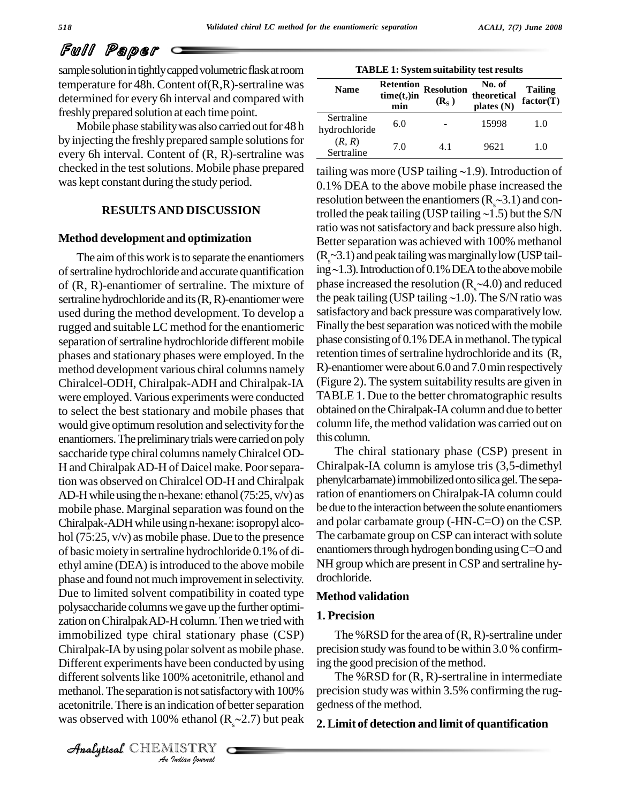sample solution in tightly capped volumetric flask at room temperature for 48h. Content of(R,R)-sertraline was determined for every 6h interval and compared with freshly prepared solution at each time point.

Mobile phase stability was also carried out for 48 h by injecting the freshly prepared sample solutions for every 6h interval. Content of (R, R)-sertraline was checked in the test solutions. Mobile phase prepared was kept constant during the study period.

#### **Method development and optimization**

different solvents like 100% acetonitrile, ethanol and The *India*<br>*I* is not satisfa<br>**Indication of I**<br>*I* ISTRY<br>*Indian Sournal* The aim of this work is to separate the enantiomers of sertraline hydrochloride and accurate quantification ing $\sim$ 1.3). Introduction of 0.1% DEA to the above mobile of (R, R)-enantiomer of sertraline. The mixture of phase increased the resolution ( $R_s \sim 4.0$ ) and reduced sertraline hydrochloride and its (R, R)-enantiomer were the peak tailing (USP tailing  $\sim 1.0$ ). The S/N ratio was sertraline hydrochloride and its  $(R, R)$ -enantiomer were used during the method development. To develop a rugged and suitable LC method for the enantiomeric separation of sertraline hydrochloride different mobile phases and stationary phases were employed. In the method development various chiral columns namely Chiralcel-ODH, Chiralpak-ADH andChiralpak-IA were employed.Various experiments were conducted to select the best stationary and mobile phases that would give optimum resolution and selectivity for the enantiomers. The preliminary trials were carried on poly saccharide type chiral columns namelyChiralcel OD- H andChiralpakAD-H of Daicel make. Poorseparation was observed on Chiralcel OD-H and Chiralpak AD-H while using the n-hexane: ethanol  $(75:25, v/v)$  as mobile phase. Marginal separation was found on the Chiralpak-ADHwhile using n-hexane: isopropyl alco hol (75:25, v/v) as mobile phase. Due to the presence of basicmoietyin sertraline hydrochloride 0.1% of di ethyl amine (DEA) is introduced to the above mobile phase and found not much improvement in selectivity. Due to limited solvent compatibility in coated type polysaccharide columnswe gave up the further optimi zation on Chiralpak AD-H column. Then we tried with immobilized type chiral stationary phase (CSP) Chiralpak-IA by using polarsolvent as mobile phase. Different experiments have been conducted by using methanol. The separation is not satisfactory with 100% acetonitrile. There is an indication of better separation was observed with 100% ethanol  $(R_{\gamma}$  - 2.7) but peak

**TABLE 1: System suitability test results**

| <b>Name</b>                 | <b>Retention</b><br>$time(t_r)$ in<br>min | <b>Resolution</b><br>(R <sub>s</sub> ) | No. of<br>theoretical<br>plates (N) | Tailing<br>factor(T) |
|-----------------------------|-------------------------------------------|----------------------------------------|-------------------------------------|----------------------|
| Sertraline<br>hydrochloride | 6.0                                       |                                        | 15998                               | 1.0                  |
| (R, R)<br>Sertraline        | 7.0                                       | 41                                     | 9621                                | 1.0                  |

**RESULTS AND DISCUSSION** trolled the peak tailing (USP tailing  $\sim 1.5$ ) but the S/N tailing was more (USP tailing  $\sim$ 1.9). Introduction of 0.1% DEA to the above mobile phase increased the tailing was more (USP tailing ~1.9). Introduction of<br>0.1% DEA to the above mobile phase increased the<br>resolution between the enantiomers ( $R_s$ ~3.1) and con-0.1% DEA to the above mobile phase increased the resolution between the enantiomers ( $R_s \sim 3.1$ ) and controlled the peak tailing (USP tailing  $\sim 1.5$ ) but the S/N ratio was not satisfactory and back pressure also high. Better separation was achieved with 100% methanol  $(R_s$ ~3.1) and peak tailing was marginally low (USP tail-Better separation was achieved with 100% methanol<br>( $R_s$ ~3.1) and peak tailing was marginally low (USP tailing ~1.3). Introduction of 0.1% DEA to the above mobile  $(R_s \sim 3.1)$  and peak tailing was marginally low (USP tailing  $\sim$ 1.3). Introduction of 0.1% DEA to the above mobile phase increased the resolution ( $R_s \sim$ 4.0) and reduced ing ~1.3). Introduction of 0.1% DEA to the above mobile<br>phase increased the resolution (R<sub>s</sub> ~4.0) and reduced<br>the peak tailing (USP tailing ~1.0). The S/N ratio was satisfactory and back pressure was comparatively low. Finally the best separation was noticed with the mobile phase consisting of 0.1% DEA in methanol. The typical retention times of sertraline hydrochloride and its (R, R)-enantiomerwere about 6.0 and 7.0min respectively (Figure 2). The system suitability results are given in TABLE 1. Due to the better chromatographic results obtained on theChiralpak-IAcolumn and due to better column life, the method validation was carried out on thiscolumn.

> The chiral stationary phase (CSP) present in Chiralpak-IA column is amylose tris (3,5-dimethyl phenylcarbamate) immobilized onto silica gel. The separation of enantiomers onChiralpak-IA column could be due to the interaction between the solute enantiomers and polar carbamate group (-HN-C=O) on the CSP. The carbamate group on CSP can interact with solute enantiomers through hydrogen bonding using  $C=O$  and NH group which are present inCSP and sertraline hy drochloride.

#### **Method validation**

#### **1. Precision**

The %RSD for the area of  $(R, R)$ -sertraline under precision studywasfound to be within 3.0 % confirming the good precision of the method.

The %RSD for (R, R)-sertraline in intermediate precision studywas within 3.5% confirming the rug gedness of the method.

#### **2.Limit of detection and limit of quantification**

CHEMISTRY COMMENT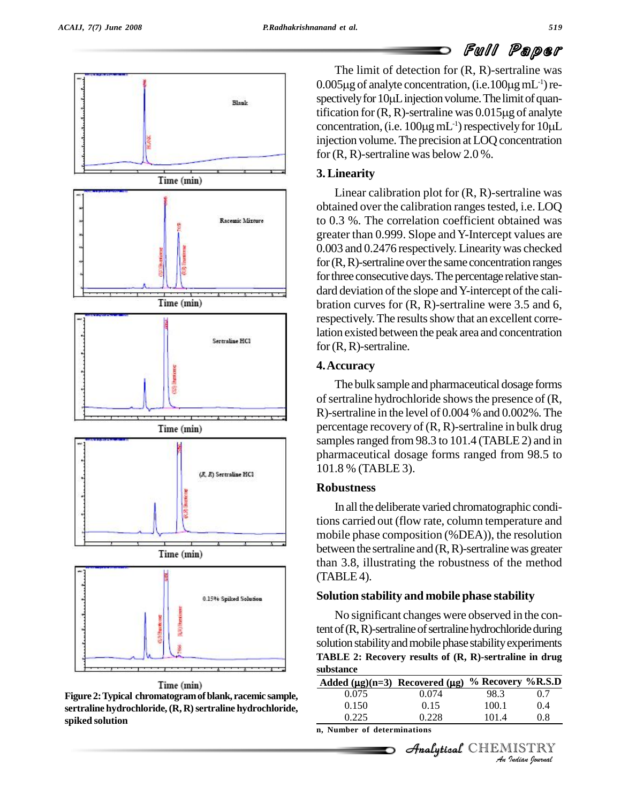



The limit of detection for (R, R)-sertraline was The limit of detection for  $(R, R)$ -sertraline was<br>0.005µg of analyte concentration, (i.e.100µg mL<sup>-1</sup>) re-The limit of detection for  $(R, R)$ -sertraline was<br>0.005µg of analyte concentration, (i.e.100µg mL<sup>-1</sup>) re-<br>spectively for 10µL injection volume. The limit of quan-0.005µg of analyte concentration, (i.e.100µg mL<sup>-1</sup>) respectively for 10µL injection volume. The limit of quantification for (R, R)-sertraline was  $0.015 \mu$ g of analyte spectively for 10 $\mu$ L injection volume. The limit of quantification for (R, R)-sertraline was 0.015 $\mu$ g of analyte concentration, (i.e. 100 $\mu$ g mL<sup>-1</sup>) respectively for 10 $\mu$ L blume. The limit of quan-<br>was  $0.015\mu$ g of analyte<br> $^{-1}$ ) respectively for  $10\mu L$ injection volume. The precision at LOQ concentration for (R, R)-sertraline was below 2.0 %.

# **3.Linearity**

Linear calibration plot for (R, R)-sertraline was obtained over the calibration ranges tested, *i.e.* LOQ to 0.3 %. The correlation coefficient obtained was greater than 0.999. Slope and Y-Intercept values are 0.003 and 0.2476 respectively. Linearitywas checked for  $(R, R)$ -sertraline over the same concentration ranges for three consecutive days. The percentage relative standard deviation of the slope and Y-intercept of the calibration curves for  $(R, R)$ -sertraline were 3.5 and 6, respectively. The results show that an excellent correlation existed between the peak area and concentration for (R, R)-sertraline.

# **4.Accuracy**

The bulk sample and pharmaceutical dosage forms of sertraline hydrochloride shows the presence of  $(R,$ R)-sertraline in the level of 0.004 % and 0.002%. The percentage recovery of (R, R)-sertraline in bulk drug samples ranged from 98.3 to 101.4 (TABLE 2) and in pharmaceutical dosage forms ranged from 98.5 to 101.8 % (TABLE 3).

# **Robustness**

In all the deliberate varied chromatographic conditions carried out (flow rate, column temperature and mobile phase composition (%DEA)), the resolution between the sertraline and  $(R, R)$ -sertraline was greater than 3.8, illustrating the robustness of the method  $(TABLE4)$ .

# **Solution stability and mobile phase stability**

No significant changes were observed in the content of  $(R, R)$ -sertraline of sertraline hydrochloride during solution stability and mobile phase stability experiments TABLE 2: Recovery results of  $(R, R)$ -sertraline in drug<br>substance<br>Added  $(\mu g)(n=3)$  Recovered  $(\mu g)$  % Recovery %R.S.D **substance**

| 0.074 | 98.3                        | 0.7                                                                                                       |
|-------|-----------------------------|-----------------------------------------------------------------------------------------------------------|
| 0.15  | 100.1                       | 0.4                                                                                                       |
| 0.228 | 101.4                       | 0.8                                                                                                       |
|       |                             |                                                                                                           |
|       |                             |                                                                                                           |
|       | n, Number of determinations | Added ( $\mu$ g)(n=3) Recovered ( $\mu$ g) % Recovery %R.S.D<br>Analytical CHEMISTRY<br>An Indian Iournal |